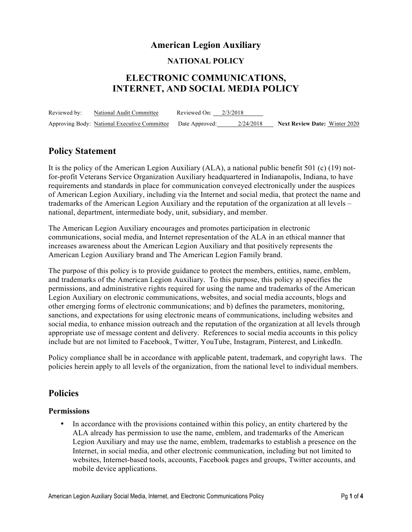## **American Legion Auxiliary**

#### **NATIONAL POLICY**

# **ELECTRONIC COMMUNICATIONS, INTERNET, AND SOCIAL MEDIA POLICY**

Reviewed by: National Audit Committee Reviewed On: 2/3/2018 Approving Body: National Executive Committee Date Approved: 2/24/2018 **Next Review Date:** Winter 2020

## **Policy Statement**

It is the policy of the American Legion Auxiliary (ALA), a national public benefit 501 (c) (19) notfor-profit Veterans Service Organization Auxiliary headquartered in Indianapolis, Indiana, to have requirements and standards in place for communication conveyed electronically under the auspices of American Legion Auxiliary, including via the Internet and social media, that protect the name and trademarks of the American Legion Auxiliary and the reputation of the organization at all levels – national, department, intermediate body, unit, subsidiary, and member.

The American Legion Auxiliary encourages and promotes participation in electronic communications, social media, and Internet representation of the ALA in an ethical manner that increases awareness about the American Legion Auxiliary and that positively represents the American Legion Auxiliary brand and The American Legion Family brand.

The purpose of this policy is to provide guidance to protect the members, entities, name, emblem, and trademarks of the American Legion Auxiliary. To this purpose, this policy a) specifies the permissions, and administrative rights required for using the name and trademarks of the American Legion Auxiliary on electronic communications, websites, and social media accounts, blogs and other emerging forms of electronic communications; and b) defines the parameters, monitoring, sanctions, and expectations for using electronic means of communications, including websites and social media, to enhance mission outreach and the reputation of the organization at all levels through appropriate use of message content and delivery. References to social media accounts in this policy include but are not limited to Facebook, Twitter, YouTube, Instagram, Pinterest, and LinkedIn.

Policy compliance shall be in accordance with applicable patent, trademark, and copyright laws. The policies herein apply to all levels of the organization, from the national level to individual members.

### **Policies**

#### **Permissions**

• In accordance with the provisions contained within this policy, an entity chartered by the ALA already has permission to use the name, emblem, and trademarks of the American Legion Auxiliary and may use the name, emblem, trademarks to establish a presence on the Internet, in social media, and other electronic communication, including but not limited to websites, Internet-based tools, accounts, Facebook pages and groups, Twitter accounts, and mobile device applications.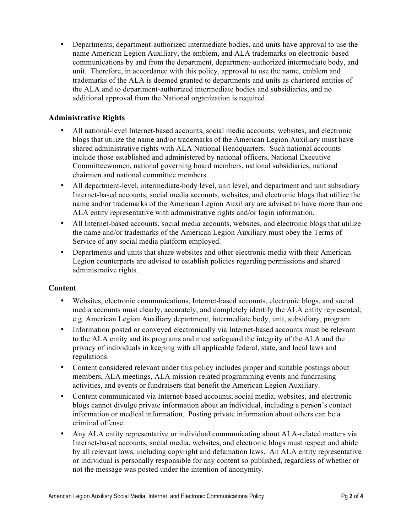• Departments, department-authorized intermediate bodies, and units have approval to use the name American Legion Auxiliary, the emblem, and ALA trademarks on electronic-based communications by and from the department, department-authorized intermediate body, and unit. Therefore, in accordance with this policy, approval to use the name, emblem and trademarks of the ALA is deemed granted to departments and units as chartered entities of the ALA and to department-authorized intermediate bodies and subsidiaries, and no additional approval from the National organization is required.

### **Administrative Rights**

- All national-level Internet-based accounts, social media accounts, websites, and electronic blogs that utilize the name and/or trademarks of the American Legion Auxiliary must have shared administrative rights with ALA National Headquarters. Such national accounts include those established and administered by national officers, National Executive Committeewomen, national governing board members, national subsidiaries, national chairmen and national committee members.
- All department-level, intermediate-body level, unit level, and department and unit subsidiary Internet-based accounts, social media accounts, websites, and electronic blogs that utilize the name and/or trademarks of the American Legion Auxiliary are advised to have more than one ALA entity representative with administrative rights and/or login information.
- All Internet-based accounts, social media accounts, websites, and electronic blogs that utilize the name and/or trademarks of the American Legion Auxiliary must obey the Terms of Service of any social media platform employed.
- Departments and units that share websites and other electronic media with their American Legion counterparts are advised to establish policies regarding permissions and shared administrative rights.

#### **Content**

- Websites, electronic communications, Internet-based accounts, electronic blogs, and social media accounts must clearly, accurately, and completely identify the ALA entity represented; e.g. American Legion Auxiliary department, intermediate body, unit, subsidiary, program.
- Information posted or conveyed electronically via Internet-based accounts must be relevant to the ALA entity and its programs and must safeguard the integrity of the ALA and the privacy of individuals in keeping with all applicable federal, state, and local laws and regulations.
- Content considered relevant under this policy includes proper and suitable postings about members, ALA meetings, ALA mission-related programming events and fundraising activities, and events or fundraisers that benefit the American Legion Auxiliary.
- Content communicated via Internet-based accounts, social media, websites, and electronic blogs cannot divulge private information about an individual, including a person's contact information or medical information. Posting private information about others can be a criminal offense.
- Any ALA entity representative or individual communicating about ALA-related matters via Internet-based accounts, social media, websites, and electronic blogs must respect and abide by all relevant laws, including copyright and defamation laws. An ALA entity representative or individual is personally responsible for any content so published, regardless of whether or not the message was posted under the intention of anonymity.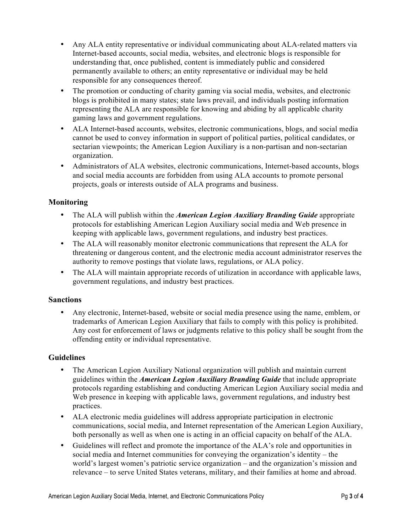- Any ALA entity representative or individual communicating about ALA-related matters via Internet-based accounts, social media, websites, and electronic blogs is responsible for understanding that, once published, content is immediately public and considered permanently available to others; an entity representative or individual may be held responsible for any consequences thereof.
- The promotion or conducting of charity gaming via social media, websites, and electronic blogs is prohibited in many states; state laws prevail, and individuals posting information representing the ALA are responsible for knowing and abiding by all applicable charity gaming laws and government regulations.
- ALA Internet-based accounts, websites, electronic communications, blogs, and social media cannot be used to convey information in support of political parties, political candidates, or sectarian viewpoints; the American Legion Auxiliary is a non-partisan and non-sectarian organization.
- Administrators of ALA websites, electronic communications, Internet-based accounts, blogs and social media accounts are forbidden from using ALA accounts to promote personal projects, goals or interests outside of ALA programs and business.

### **Monitoring**

- The ALA will publish within the *American Legion Auxiliary Branding Guide* appropriate protocols for establishing American Legion Auxiliary social media and Web presence in keeping with applicable laws, government regulations, and industry best practices.
- The ALA will reasonably monitor electronic communications that represent the ALA for threatening or dangerous content, and the electronic media account administrator reserves the authority to remove postings that violate laws, regulations, or ALA policy.
- The ALA will maintain appropriate records of utilization in accordance with applicable laws, government regulations, and industry best practices.

#### **Sanctions**

• Any electronic, Internet-based, website or social media presence using the name, emblem, or trademarks of American Legion Auxiliary that fails to comply with this policy is prohibited. Any cost for enforcement of laws or judgments relative to this policy shall be sought from the offending entity or individual representative.

#### **Guidelines**

- The American Legion Auxiliary National organization will publish and maintain current guidelines within the *American Legion Auxiliary Branding Guide* that include appropriate protocols regarding establishing and conducting American Legion Auxiliary social media and Web presence in keeping with applicable laws, government regulations, and industry best practices.
- ALA electronic media guidelines will address appropriate participation in electronic communications, social media, and Internet representation of the American Legion Auxiliary, both personally as well as when one is acting in an official capacity on behalf of the ALA.
- Guidelines will reflect and promote the importance of the ALA's role and opportunities in social media and Internet communities for conveying the organization's identity – the world's largest women's patriotic service organization – and the organization's mission and relevance – to serve United States veterans, military, and their families at home and abroad.